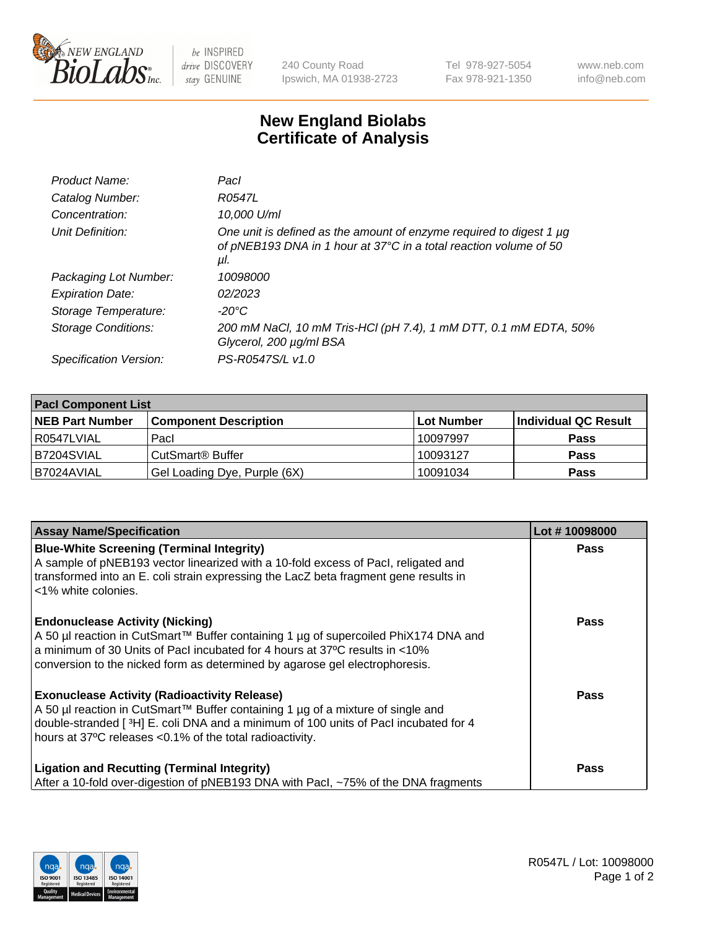

 $be$  INSPIRED drive DISCOVERY stay GENUINE

240 County Road Ipswich, MA 01938-2723 Tel 978-927-5054 Fax 978-921-1350 www.neb.com info@neb.com

## **New England Biolabs Certificate of Analysis**

| Product Name:           | Pacl                                                                                                                                            |
|-------------------------|-------------------------------------------------------------------------------------------------------------------------------------------------|
| Catalog Number:         | R0547L                                                                                                                                          |
| Concentration:          | 10,000 U/ml                                                                                                                                     |
| Unit Definition:        | One unit is defined as the amount of enzyme required to digest 1 µg<br>of pNEB193 DNA in 1 hour at 37°C in a total reaction volume of 50<br>μI. |
| Packaging Lot Number:   | 10098000                                                                                                                                        |
| <b>Expiration Date:</b> | 02/2023                                                                                                                                         |
| Storage Temperature:    | $-20^{\circ}$ C                                                                                                                                 |
| Storage Conditions:     | 200 mM NaCl, 10 mM Tris-HCl (pH 7.4), 1 mM DTT, 0.1 mM EDTA, 50%<br>Glycerol, 200 µg/ml BSA                                                     |
| Specification Version:  | PS-R0547S/L v1.0                                                                                                                                |

| <b>Pacl Component List</b> |                              |             |                      |  |  |
|----------------------------|------------------------------|-------------|----------------------|--|--|
| <b>NEB Part Number</b>     | <b>Component Description</b> | ∣Lot Number | Individual QC Result |  |  |
| R0547LVIAL                 | Pacl                         | 10097997    | <b>Pass</b>          |  |  |
| IB7204SVIAL                | CutSmart® Buffer             | 10093127    | <b>Pass</b>          |  |  |
| B7024AVIAL                 | Gel Loading Dye, Purple (6X) | 10091034    | <b>Pass</b>          |  |  |

| <b>Assay Name/Specification</b>                                                                                                                                                                                                                                                             | Lot #10098000 |
|---------------------------------------------------------------------------------------------------------------------------------------------------------------------------------------------------------------------------------------------------------------------------------------------|---------------|
| <b>Blue-White Screening (Terminal Integrity)</b><br>A sample of pNEB193 vector linearized with a 10-fold excess of Pacl, religated and<br>transformed into an E. coli strain expressing the LacZ beta fragment gene results in<br><1% white colonies.                                       | <b>Pass</b>   |
| <b>Endonuclease Activity (Nicking)</b><br>A 50 µl reaction in CutSmart™ Buffer containing 1 µg of supercoiled PhiX174 DNA and<br>a minimum of 30 Units of Pacl incubated for 4 hours at 37°C results in <10%<br>conversion to the nicked form as determined by agarose gel electrophoresis. | <b>Pass</b>   |
| <b>Exonuclease Activity (Radioactivity Release)</b><br>A 50 µl reaction in CutSmart™ Buffer containing 1 µg of a mixture of single and<br>double-stranded [3H] E. coli DNA and a minimum of 100 units of Pacl incubated for 4<br>hours at 37°C releases <0.1% of the total radioactivity.   | Pass          |
| <b>Ligation and Recutting (Terminal Integrity)</b><br>After a 10-fold over-digestion of pNEB193 DNA with Pacl, ~75% of the DNA fragments                                                                                                                                                    | <b>Pass</b>   |